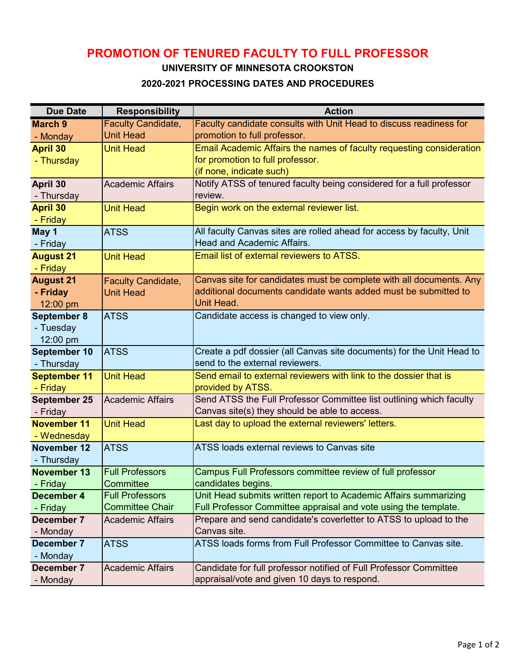# **PROMOTION OF TENURED FACULTY TO FULL PROFESSOR**

**UNIVERSITY OF MINNESOTA CROOKSTON**

### **2020-2021 PROCESSING DATES AND PROCEDURES**

| <b>Due Date</b>     | <b>Responsibility</b>                            | <b>Action</b>                                                                     |
|---------------------|--------------------------------------------------|-----------------------------------------------------------------------------------|
| <b>March 9</b>      | <b>Faculty Candidate,</b>                        | Faculty candidate consults with Unit Head to discuss readiness for                |
| - Monday            | <b>Unit Head</b>                                 | promotion to full professor.                                                      |
| <b>April 30</b>     | <b>Unit Head</b>                                 | Email Academic Affairs the names of faculty requesting consideration              |
| - Thursday          |                                                  | for promotion to full professor.                                                  |
|                     |                                                  | (if none, indicate such)                                                          |
| April 30            | <b>Academic Affairs</b>                          | Notify ATSS of tenured faculty being considered for a full professor              |
| - Thursday          |                                                  | review.                                                                           |
| <b>April 30</b>     | <b>Unit Head</b>                                 | Begin work on the external reviewer list.                                         |
| - Friday            |                                                  |                                                                                   |
| May 1               | <b>ATSS</b>                                      | All faculty Canvas sites are rolled ahead for access by faculty, Unit             |
| - Friday            |                                                  | <b>Head and Academic Affairs.</b>                                                 |
| <b>August 21</b>    | <b>Unit Head</b>                                 | <b>Email list of external reviewers to ATSS.</b>                                  |
| - Friday            |                                                  |                                                                                   |
| <b>August 21</b>    | <b>Faculty Candidate,</b>                        | Canvas site for candidates must be complete with all documents. Any               |
| - Friday            | <b>Unit Head</b>                                 | additional documents candidate wants added must be submitted to                   |
| 12:00 pm            |                                                  | Unit Head.                                                                        |
| September 8         | <b>ATSS</b>                                      | Candidate access is changed to view only.                                         |
| - Tuesday           |                                                  |                                                                                   |
| 12:00 pm            |                                                  |                                                                                   |
| September 10        | <b>ATSS</b>                                      | Create a pdf dossier (all Canvas site documents) for the Unit Head to             |
| - Thursday          |                                                  | send to the external reviewers.                                                   |
| <b>September 11</b> | <b>Unit Head</b>                                 | Send email to external reviewers with link to the dossier that is                 |
| - Friday            |                                                  | provided by ATSS.                                                                 |
| September 25        | <b>Academic Affairs</b>                          | Send ATSS the Full Professor Committee list outlining which faculty               |
| - Friday            |                                                  | Canvas site(s) they should be able to access.                                     |
| <b>November 11</b>  | <b>Unit Head</b>                                 | Last day to upload the external reviewers' letters.                               |
| - Wednesday         |                                                  |                                                                                   |
| <b>November 12</b>  | <b>ATSS</b>                                      | ATSS loads external reviews to Canvas site                                        |
| - Thursday          |                                                  |                                                                                   |
| <b>November 13</b>  | <b>Full Professors</b>                           | Campus Full Professors committee review of full professor                         |
| - Friday            | Committee                                        | candidates begins.                                                                |
| December 4          | <b>Full Professors</b><br><b>Committee Chair</b> | Unit Head submits written report to Academic Affairs summarizing                  |
| - Friday            |                                                  | Full Professor Committee appraisal and vote using the template.                   |
| December 7          | <b>Academic Affairs</b>                          | Prepare and send candidate's coverletter to ATSS to upload to the<br>Canvas site. |
| - Monday            |                                                  | ATSS loads forms from Full Professor Committee to Canvas site.                    |
| December 7          | <b>ATSS</b>                                      |                                                                                   |
| - Monday            |                                                  |                                                                                   |
| December 7          | <b>Academic Affairs</b>                          | Candidate for full professor notified of Full Professor Committee                 |
| - Monday            |                                                  | appraisal/vote and given 10 days to respond.                                      |